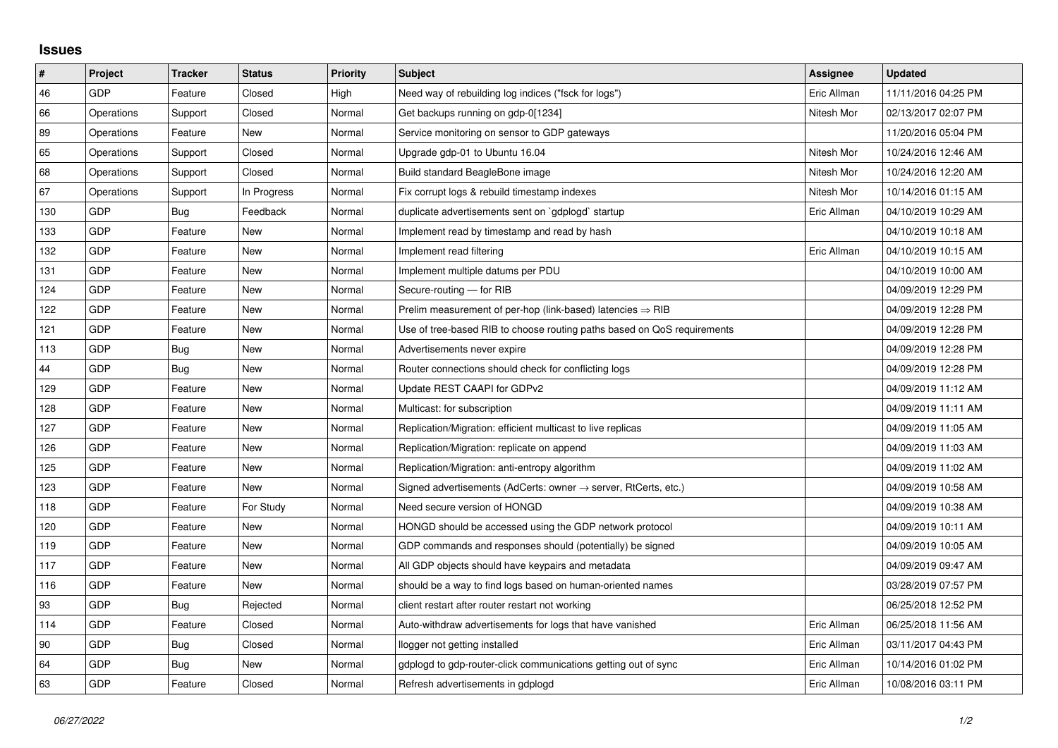## **Issues**

| $\pmb{\sharp}$ | Project    | <b>Tracker</b> | <b>Status</b> | <b>Priority</b> | <b>Subject</b>                                                             | Assignee    | <b>Updated</b>      |
|----------------|------------|----------------|---------------|-----------------|----------------------------------------------------------------------------|-------------|---------------------|
| 46             | GDP        | Feature        | Closed        | High            | Need way of rebuilding log indices ("fsck for logs")                       | Eric Allman | 11/11/2016 04:25 PM |
| 66             | Operations | Support        | Closed        | Normal          | Get backups running on gdp-0[1234]                                         | Nitesh Mor  | 02/13/2017 02:07 PM |
| 89             | Operations | Feature        | New           | Normal          | Service monitoring on sensor to GDP gateways                               |             | 11/20/2016 05:04 PM |
| 65             | Operations | Support        | Closed        | Normal          | Upgrade gdp-01 to Ubuntu 16.04                                             | Nitesh Mor  | 10/24/2016 12:46 AM |
| 68             | Operations | Support        | Closed        | Normal          | Build standard BeagleBone image                                            | Nitesh Mor  | 10/24/2016 12:20 AM |
| 67             | Operations | Support        | In Progress   | Normal          | Fix corrupt logs & rebuild timestamp indexes                               | Nitesh Mor  | 10/14/2016 01:15 AM |
| 130            | <b>GDP</b> | Bug            | Feedback      | Normal          | duplicate advertisements sent on `gdplogd` startup                         | Eric Allman | 04/10/2019 10:29 AM |
| 133            | <b>GDP</b> | Feature        | <b>New</b>    | Normal          | Implement read by timestamp and read by hash                               |             | 04/10/2019 10:18 AM |
| 132            | GDP        | Feature        | New           | Normal          | Implement read filtering                                                   | Eric Allman | 04/10/2019 10:15 AM |
| 131            | <b>GDP</b> | Feature        | <b>New</b>    | Normal          | Implement multiple datums per PDU                                          |             | 04/10/2019 10:00 AM |
| 124            | <b>GDP</b> | Feature        | <b>New</b>    | Normal          | Secure-routing - for RIB                                                   |             | 04/09/2019 12:29 PM |
| 122            | GDP        | Feature        | New           | Normal          | Prelim measurement of per-hop (link-based) latencies $\Rightarrow$ RIB     |             | 04/09/2019 12:28 PM |
| 121            | <b>GDP</b> | Feature        | <b>New</b>    | Normal          | Use of tree-based RIB to choose routing paths based on QoS requirements    |             | 04/09/2019 12:28 PM |
| 113            | <b>GDP</b> | Bug            | New           | Normal          | Advertisements never expire                                                |             | 04/09/2019 12:28 PM |
| 44             | <b>GDP</b> | Bug            | New           | Normal          | Router connections should check for conflicting logs                       |             | 04/09/2019 12:28 PM |
| 129            | <b>GDP</b> | Feature        | <b>New</b>    | Normal          | Update REST CAAPI for GDPv2                                                |             | 04/09/2019 11:12 AM |
| 128            | GDP        | Feature        | New           | Normal          | Multicast: for subscription                                                |             | 04/09/2019 11:11 AM |
| 127            | <b>GDP</b> | Feature        | New           | Normal          | Replication/Migration: efficient multicast to live replicas                |             | 04/09/2019 11:05 AM |
| 126            | <b>GDP</b> | Feature        | <b>New</b>    | Normal          | Replication/Migration: replicate on append                                 |             | 04/09/2019 11:03 AM |
| 125            | GDP        | Feature        | New           | Normal          | Replication/Migration: anti-entropy algorithm                              |             | 04/09/2019 11:02 AM |
| 123            | <b>GDP</b> | Feature        | <b>New</b>    | Normal          | Signed advertisements (AdCerts: owner $\rightarrow$ server, RtCerts, etc.) |             | 04/09/2019 10:58 AM |
| 118            | GDP        | Feature        | For Study     | Normal          | Need secure version of HONGD                                               |             | 04/09/2019 10:38 AM |
| 120            | <b>GDP</b> | Feature        | New           | Normal          | HONGD should be accessed using the GDP network protocol                    |             | 04/09/2019 10:11 AM |
| 119            | <b>GDP</b> | Feature        | <b>New</b>    | Normal          | GDP commands and responses should (potentially) be signed                  |             | 04/09/2019 10:05 AM |
| 117            | <b>GDP</b> | Feature        | <b>New</b>    | Normal          | All GDP objects should have keypairs and metadata                          |             | 04/09/2019 09:47 AM |
| 116            | GDP        | Feature        | New           | Normal          | should be a way to find logs based on human-oriented names                 |             | 03/28/2019 07:57 PM |
| 93             | GDP        | Bug            | Rejected      | Normal          | client restart after router restart not working                            |             | 06/25/2018 12:52 PM |
| 114            | <b>GDP</b> | Feature        | Closed        | Normal          | Auto-withdraw advertisements for logs that have vanished                   | Eric Allman | 06/25/2018 11:56 AM |
| 90             | <b>GDP</b> | Bug            | Closed        | Normal          | llogger not getting installed                                              | Eric Allman | 03/11/2017 04:43 PM |
| 64             | GDP        | Bug            | New           | Normal          | gdplogd to gdp-router-click communications getting out of sync             | Eric Allman | 10/14/2016 01:02 PM |
| 63             | GDP        | Feature        | Closed        | Normal          | Refresh advertisements in gdplogd                                          | Eric Allman | 10/08/2016 03:11 PM |